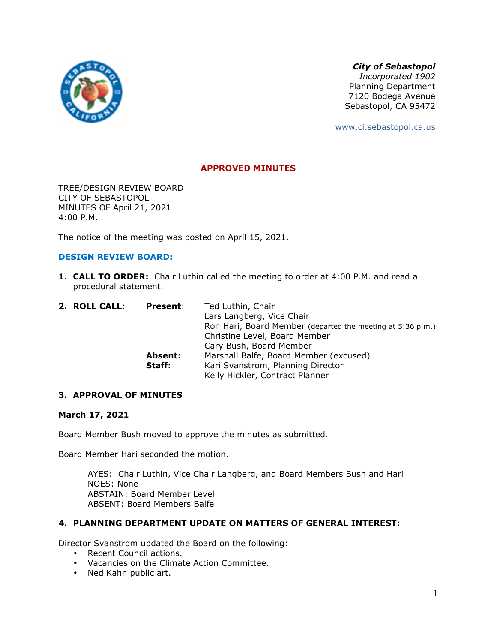

*City of Sebastopol*

*Incorporated 1902*  Planning Department 7120 Bodega Avenue Sebastopol, CA 95472

www.ci.sebastopol.ca.us

# **APPROVED MINUTES**

TREE/DESIGN REVIEW BOARD CITY OF SEBASTOPOL MINUTES OF April 21, 2021 4:00 P.M.

The notice of the meeting was posted on April 15, 2021.

## **DESIGN REVIEW BOARD:**

**1. CALL TO ORDER:** Chair Luthin called the meeting to order at 4:00 P.M. and read a procedural statement.

| 2. ROLL CALL: | <b>Present:</b> | Ted Luthin, Chair                                          |
|---------------|-----------------|------------------------------------------------------------|
|               |                 | Lars Langberg, Vice Chair                                  |
|               |                 | Ron Hari, Board Member (departed the meeting at 5:36 p.m.) |
|               |                 | Christine Level, Board Member                              |
|               |                 | Cary Bush, Board Member                                    |
|               | Absent:         | Marshall Balfe, Board Member (excused)                     |
|               | Staff:          | Kari Svanstrom, Planning Director                          |
|               |                 | Kelly Hickler, Contract Planner                            |

## **3. APPROVAL OF MINUTES**

### **March 17, 2021**

Board Member Bush moved to approve the minutes as submitted.

Board Member Hari seconded the motion.

AYES: Chair Luthin, Vice Chair Langberg, and Board Members Bush and Hari NOES: None ABSTAIN: Board Member Level ABSENT: Board Members Balfe

## **4. PLANNING DEPARTMENT UPDATE ON MATTERS OF GENERAL INTEREST:**

Director Svanstrom updated the Board on the following:

- Recent Council actions.
- Vacancies on the Climate Action Committee.
- Ned Kahn public art.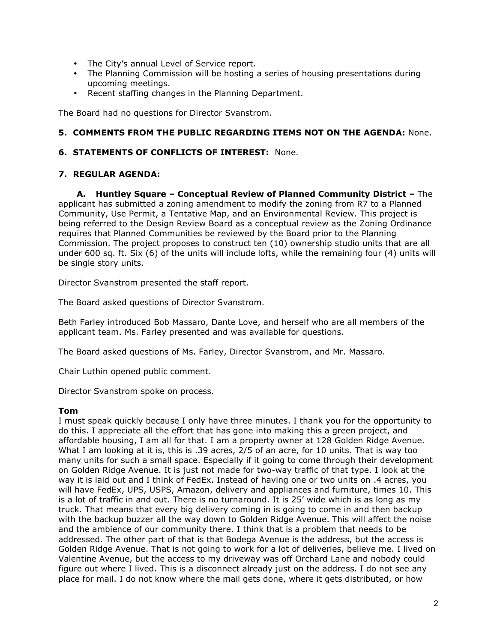- The City's annual Level of Service report.
- The Planning Commission will be hosting a series of housing presentations during upcoming meetings.
- Recent staffing changes in the Planning Department.

The Board had no questions for Director Svanstrom.

## **5. COMMENTS FROM THE PUBLIC REGARDING ITEMS NOT ON THE AGENDA:** None.

# **6. STATEMENTS OF CONFLICTS OF INTEREST:** None.

## **7. REGULAR AGENDA:**

**A. Huntley Square – Conceptual Review of Planned Community District –** The applicant has submitted a zoning amendment to modify the zoning from R7 to a Planned Community, Use Permit, a Tentative Map, and an Environmental Review. This project is being referred to the Design Review Board as a conceptual review as the Zoning Ordinance requires that Planned Communities be reviewed by the Board prior to the Planning Commission. The project proposes to construct ten (10) ownership studio units that are all under 600 sq. ft. Six (6) of the units will include lofts, while the remaining four (4) units will be single story units.

Director Svanstrom presented the staff report.

The Board asked questions of Director Svanstrom.

Beth Farley introduced Bob Massaro, Dante Love, and herself who are all members of the applicant team. Ms. Farley presented and was available for questions.

The Board asked questions of Ms. Farley, Director Svanstrom, and Mr. Massaro.

Chair Luthin opened public comment.

Director Svanstrom spoke on process.

## **Tom**

I must speak quickly because I only have three minutes. I thank you for the opportunity to do this. I appreciate all the effort that has gone into making this a green project, and affordable housing, I am all for that. I am a property owner at 128 Golden Ridge Avenue. What I am looking at it is, this is .39 acres, 2/5 of an acre, for 10 units. That is way too many units for such a small space. Especially if it going to come through their development on Golden Ridge Avenue. It is just not made for two-way traffic of that type. I look at the way it is laid out and I think of FedEx. Instead of having one or two units on .4 acres, you will have FedEx, UPS, USPS, Amazon, delivery and appliances and furniture, times 10. This is a lot of traffic in and out. There is no turnaround. It is 25' wide which is as long as my truck. That means that every big delivery coming in is going to come in and then backup with the backup buzzer all the way down to Golden Ridge Avenue. This will affect the noise and the ambience of our community there. I think that is a problem that needs to be addressed. The other part of that is that Bodega Avenue is the address, but the access is Golden Ridge Avenue. That is not going to work for a lot of deliveries, believe me. I lived on Valentine Avenue, but the access to my driveway was off Orchard Lane and nobody could figure out where I lived. This is a disconnect already just on the address. I do not see any place for mail. I do not know where the mail gets done, where it gets distributed, or how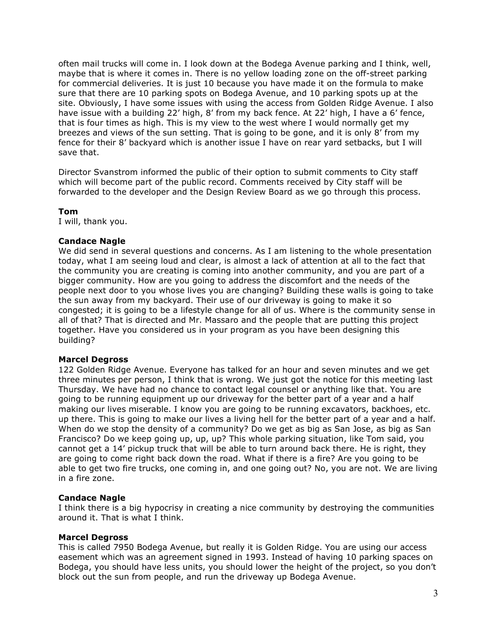often mail trucks will come in. I look down at the Bodega Avenue parking and I think, well, maybe that is where it comes in. There is no yellow loading zone on the off-street parking for commercial deliveries. It is just 10 because you have made it on the formula to make sure that there are 10 parking spots on Bodega Avenue, and 10 parking spots up at the site. Obviously, I have some issues with using the access from Golden Ridge Avenue. I also have issue with a building 22' high, 8' from my back fence. At 22' high, I have a 6' fence, that is four times as high. This is my view to the west where I would normally get my breezes and views of the sun setting. That is going to be gone, and it is only 8' from my fence for their 8' backyard which is another issue I have on rear yard setbacks, but I will save that.

Director Svanstrom informed the public of their option to submit comments to City staff which will become part of the public record. Comments received by City staff will be forwarded to the developer and the Design Review Board as we go through this process.

### **Tom**

I will, thank you.

### **Candace Nagle**

We did send in several questions and concerns. As I am listening to the whole presentation today, what I am seeing loud and clear, is almost a lack of attention at all to the fact that the community you are creating is coming into another community, and you are part of a bigger community. How are you going to address the discomfort and the needs of the people next door to you whose lives you are changing? Building these walls is going to take the sun away from my backyard. Their use of our driveway is going to make it so congested; it is going to be a lifestyle change for all of us. Where is the community sense in all of that? That is directed and Mr. Massaro and the people that are putting this project together. Have you considered us in your program as you have been designing this building?

### **Marcel Degross**

122 Golden Ridge Avenue. Everyone has talked for an hour and seven minutes and we get three minutes per person, I think that is wrong. We just got the notice for this meeting last Thursday. We have had no chance to contact legal counsel or anything like that. You are going to be running equipment up our driveway for the better part of a year and a half making our lives miserable. I know you are going to be running excavators, backhoes, etc. up there. This is going to make our lives a living hell for the better part of a year and a half. When do we stop the density of a community? Do we get as big as San Jose, as big as San Francisco? Do we keep going up, up, up? This whole parking situation, like Tom said, you cannot get a 14' pickup truck that will be able to turn around back there. He is right, they are going to come right back down the road. What if there is a fire? Are you going to be able to get two fire trucks, one coming in, and one going out? No, you are not. We are living in a fire zone.

### **Candace Nagle**

I think there is a big hypocrisy in creating a nice community by destroying the communities around it. That is what I think.

### **Marcel Degross**

This is called 7950 Bodega Avenue, but really it is Golden Ridge. You are using our access easement which was an agreement signed in 1993. Instead of having 10 parking spaces on Bodega, you should have less units, you should lower the height of the project, so you don't block out the sun from people, and run the driveway up Bodega Avenue.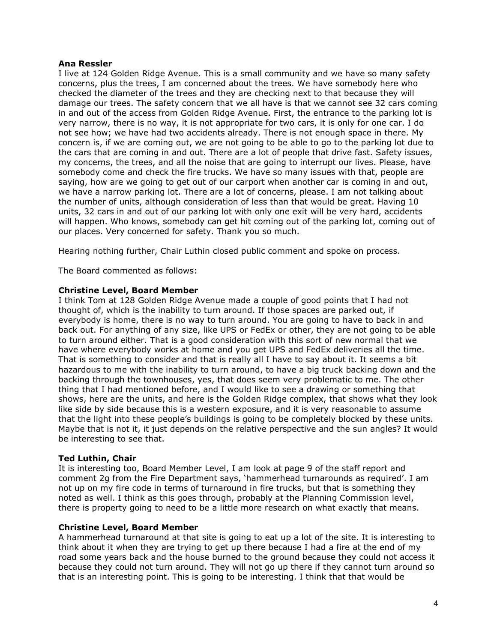### **Ana Ressler**

I live at 124 Golden Ridge Avenue. This is a small community and we have so many safety concerns, plus the trees, I am concerned about the trees. We have somebody here who checked the diameter of the trees and they are checking next to that because they will damage our trees. The safety concern that we all have is that we cannot see 32 cars coming in and out of the access from Golden Ridge Avenue. First, the entrance to the parking lot is very narrow, there is no way, it is not appropriate for two cars, it is only for one car. I do not see how; we have had two accidents already. There is not enough space in there. My concern is, if we are coming out, we are not going to be able to go to the parking lot due to the cars that are coming in and out. There are a lot of people that drive fast. Safety issues, my concerns, the trees, and all the noise that are going to interrupt our lives. Please, have somebody come and check the fire trucks. We have so many issues with that, people are saying, how are we going to get out of our carport when another car is coming in and out, we have a narrow parking lot. There are a lot of concerns, please. I am not talking about the number of units, although consideration of less than that would be great. Having 10 units, 32 cars in and out of our parking lot with only one exit will be very hard, accidents will happen. Who knows, somebody can get hit coming out of the parking lot, coming out of our places. Very concerned for safety. Thank you so much.

Hearing nothing further, Chair Luthin closed public comment and spoke on process.

The Board commented as follows:

## **Christine Level, Board Member**

I think Tom at 128 Golden Ridge Avenue made a couple of good points that I had not thought of, which is the inability to turn around. If those spaces are parked out, if everybody is home, there is no way to turn around. You are going to have to back in and back out. For anything of any size, like UPS or FedEx or other, they are not going to be able to turn around either. That is a good consideration with this sort of new normal that we have where everybody works at home and you get UPS and FedEx deliveries all the time. That is something to consider and that is really all I have to say about it. It seems a bit hazardous to me with the inability to turn around, to have a big truck backing down and the backing through the townhouses, yes, that does seem very problematic to me. The other thing that I had mentioned before, and I would like to see a drawing or something that shows, here are the units, and here is the Golden Ridge complex, that shows what they look like side by side because this is a western exposure, and it is very reasonable to assume that the light into these people's buildings is going to be completely blocked by these units. Maybe that is not it, it just depends on the relative perspective and the sun angles? It would be interesting to see that.

### **Ted Luthin, Chair**

It is interesting too, Board Member Level, I am look at page 9 of the staff report and comment 2g from the Fire Department says, 'hammerhead turnarounds as required'. I am not up on my fire code in terms of turnaround in fire trucks, but that is something they noted as well. I think as this goes through, probably at the Planning Commission level, there is property going to need to be a little more research on what exactly that means.

## **Christine Level, Board Member**

A hammerhead turnaround at that site is going to eat up a lot of the site. It is interesting to think about it when they are trying to get up there because I had a fire at the end of my road some years back and the house burned to the ground because they could not access it because they could not turn around. They will not go up there if they cannot turn around so that is an interesting point. This is going to be interesting. I think that that would be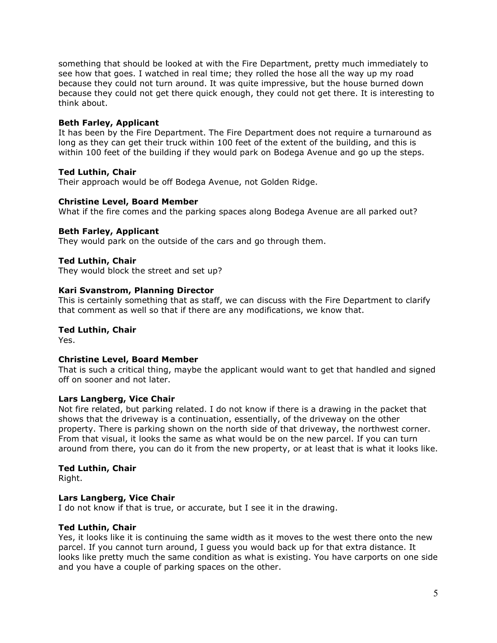something that should be looked at with the Fire Department, pretty much immediately to see how that goes. I watched in real time; they rolled the hose all the way up my road because they could not turn around. It was quite impressive, but the house burned down because they could not get there quick enough, they could not get there. It is interesting to think about.

## **Beth Farley, Applicant**

It has been by the Fire Department. The Fire Department does not require a turnaround as long as they can get their truck within 100 feet of the extent of the building, and this is within 100 feet of the building if they would park on Bodega Avenue and go up the steps.

### **Ted Luthin, Chair**

Their approach would be off Bodega Avenue, not Golden Ridge.

### **Christine Level, Board Member**

What if the fire comes and the parking spaces along Bodega Avenue are all parked out?

### **Beth Farley, Applicant**

They would park on the outside of the cars and go through them.

### **Ted Luthin, Chair**

They would block the street and set up?

### **Kari Svanstrom, Planning Director**

This is certainly something that as staff, we can discuss with the Fire Department to clarify that comment as well so that if there are any modifications, we know that.

### **Ted Luthin, Chair**

Yes.

### **Christine Level, Board Member**

That is such a critical thing, maybe the applicant would want to get that handled and signed off on sooner and not later.

### **Lars Langberg, Vice Chair**

Not fire related, but parking related. I do not know if there is a drawing in the packet that shows that the driveway is a continuation, essentially, of the driveway on the other property. There is parking shown on the north side of that driveway, the northwest corner. From that visual, it looks the same as what would be on the new parcel. If you can turn around from there, you can do it from the new property, or at least that is what it looks like.

## **Ted Luthin, Chair**

Right.

### **Lars Langberg, Vice Chair**

I do not know if that is true, or accurate, but I see it in the drawing.

### **Ted Luthin, Chair**

Yes, it looks like it is continuing the same width as it moves to the west there onto the new parcel. If you cannot turn around, I guess you would back up for that extra distance. It looks like pretty much the same condition as what is existing. You have carports on one side and you have a couple of parking spaces on the other.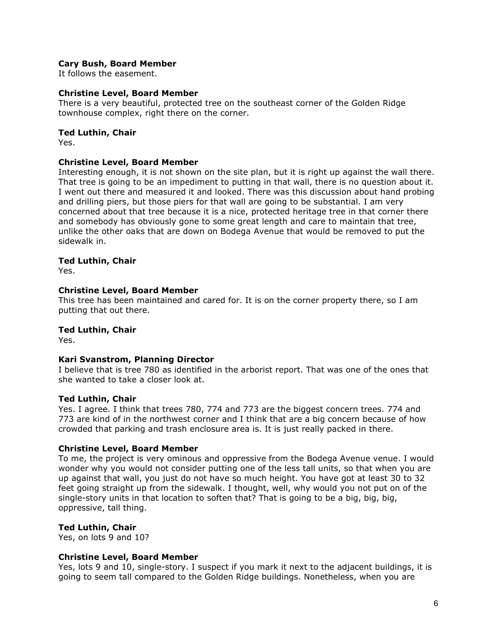### **Cary Bush, Board Member**

It follows the easement.

## **Christine Level, Board Member**

There is a very beautiful, protected tree on the southeast corner of the Golden Ridge townhouse complex, right there on the corner.

### **Ted Luthin, Chair**

Yes.

### **Christine Level, Board Member**

Interesting enough, it is not shown on the site plan, but it is right up against the wall there. That tree is going to be an impediment to putting in that wall, there is no question about it. I went out there and measured it and looked. There was this discussion about hand probing and drilling piers, but those piers for that wall are going to be substantial. I am very concerned about that tree because it is a nice, protected heritage tree in that corner there and somebody has obviously gone to some great length and care to maintain that tree, unlike the other oaks that are down on Bodega Avenue that would be removed to put the sidewalk in.

### **Ted Luthin, Chair**

Yes.

### **Christine Level, Board Member**

This tree has been maintained and cared for. It is on the corner property there, so I am putting that out there.

### **Ted Luthin, Chair**

Yes.

### **Kari Svanstrom, Planning Director**

I believe that is tree 780 as identified in the arborist report. That was one of the ones that she wanted to take a closer look at.

### **Ted Luthin, Chair**

Yes. I agree. I think that trees 780, 774 and 773 are the biggest concern trees. 774 and 773 are kind of in the northwest corner and I think that are a big concern because of how crowded that parking and trash enclosure area is. It is just really packed in there.

### **Christine Level, Board Member**

To me, the project is very ominous and oppressive from the Bodega Avenue venue. I would wonder why you would not consider putting one of the less tall units, so that when you are up against that wall, you just do not have so much height. You have got at least 30 to 32 feet going straight up from the sidewalk. I thought, well, why would you not put on of the single-story units in that location to soften that? That is going to be a big, big, big, oppressive, tall thing.

## **Ted Luthin, Chair**

Yes, on lots 9 and 10?

### **Christine Level, Board Member**

Yes, lots 9 and 10, single-story. I suspect if you mark it next to the adjacent buildings, it is going to seem tall compared to the Golden Ridge buildings. Nonetheless, when you are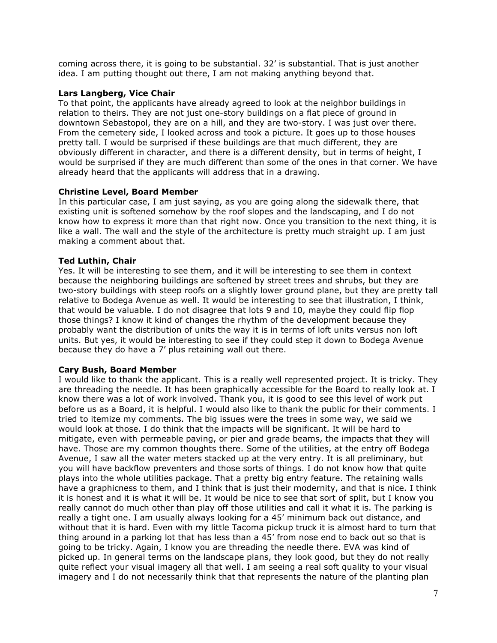coming across there, it is going to be substantial. 32' is substantial. That is just another idea. I am putting thought out there, I am not making anything beyond that.

## **Lars Langberg, Vice Chair**

To that point, the applicants have already agreed to look at the neighbor buildings in relation to theirs. They are not just one-story buildings on a flat piece of ground in downtown Sebastopol, they are on a hill, and they are two-story. I was just over there. From the cemetery side, I looked across and took a picture. It goes up to those houses pretty tall. I would be surprised if these buildings are that much different, they are obviously different in character, and there is a different density, but in terms of height, I would be surprised if they are much different than some of the ones in that corner. We have already heard that the applicants will address that in a drawing.

## **Christine Level, Board Member**

In this particular case, I am just saying, as you are going along the sidewalk there, that existing unit is softened somehow by the roof slopes and the landscaping, and I do not know how to express it more than that right now. Once you transition to the next thing, it is like a wall. The wall and the style of the architecture is pretty much straight up. I am just making a comment about that.

### **Ted Luthin, Chair**

Yes. It will be interesting to see them, and it will be interesting to see them in context because the neighboring buildings are softened by street trees and shrubs, but they are two-story buildings with steep roofs on a slightly lower ground plane, but they are pretty tall relative to Bodega Avenue as well. It would be interesting to see that illustration, I think, that would be valuable. I do not disagree that lots 9 and 10, maybe they could flip flop those things? I know it kind of changes the rhythm of the development because they probably want the distribution of units the way it is in terms of loft units versus non loft units. But yes, it would be interesting to see if they could step it down to Bodega Avenue because they do have a 7' plus retaining wall out there.

### **Cary Bush, Board Member**

I would like to thank the applicant. This is a really well represented project. It is tricky. They are threading the needle. It has been graphically accessible for the Board to really look at. I know there was a lot of work involved. Thank you, it is good to see this level of work put before us as a Board, it is helpful. I would also like to thank the public for their comments. I tried to itemize my comments. The big issues were the trees in some way, we said we would look at those. I do think that the impacts will be significant. It will be hard to mitigate, even with permeable paving, or pier and grade beams, the impacts that they will have. Those are my common thoughts there. Some of the utilities, at the entry off Bodega Avenue, I saw all the water meters stacked up at the very entry. It is all preliminary, but you will have backflow preventers and those sorts of things. I do not know how that quite plays into the whole utilities package. That a pretty big entry feature. The retaining walls have a graphicness to them, and I think that is just their modernity, and that is nice. I think it is honest and it is what it will be. It would be nice to see that sort of split, but I know you really cannot do much other than play off those utilities and call it what it is. The parking is really a tight one. I am usually always looking for a 45' minimum back out distance, and without that it is hard. Even with my little Tacoma pickup truck it is almost hard to turn that thing around in a parking lot that has less than a 45' from nose end to back out so that is going to be tricky. Again, I know you are threading the needle there. EVA was kind of picked up. In general terms on the landscape plans, they look good, but they do not really quite reflect your visual imagery all that well. I am seeing a real soft quality to your visual imagery and I do not necessarily think that that represents the nature of the planting plan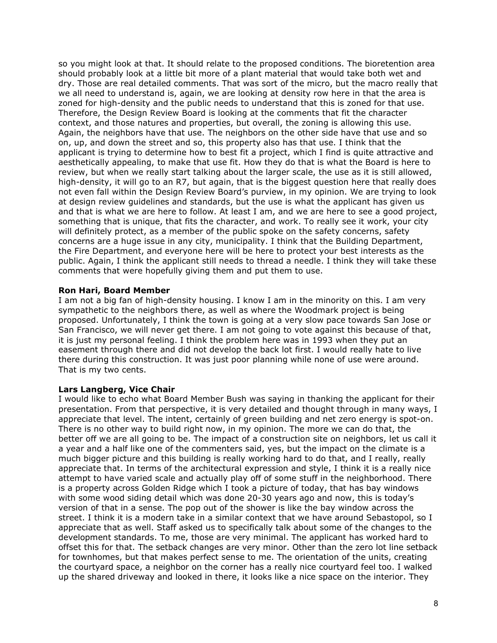so you might look at that. It should relate to the proposed conditions. The bioretention area should probably look at a little bit more of a plant material that would take both wet and dry. Those are real detailed comments. That was sort of the micro, but the macro really that we all need to understand is, again, we are looking at density row here in that the area is zoned for high-density and the public needs to understand that this is zoned for that use. Therefore, the Design Review Board is looking at the comments that fit the character context, and those natures and properties, but overall, the zoning is allowing this use. Again, the neighbors have that use. The neighbors on the other side have that use and so on, up, and down the street and so, this property also has that use. I think that the applicant is trying to determine how to best fit a project, which I find is quite attractive and aesthetically appealing, to make that use fit. How they do that is what the Board is here to review, but when we really start talking about the larger scale, the use as it is still allowed, high-density, it will go to an R7, but again, that is the biggest question here that really does not even fall within the Design Review Board's purview, in my opinion. We are trying to look at design review guidelines and standards, but the use is what the applicant has given us and that is what we are here to follow. At least I am, and we are here to see a good project, something that is unique, that fits the character, and work. To really see it work, your city will definitely protect, as a member of the public spoke on the safety concerns, safety concerns are a huge issue in any city, municipality. I think that the Building Department, the Fire Department, and everyone here will be here to protect your best interests as the public. Again, I think the applicant still needs to thread a needle. I think they will take these comments that were hopefully giving them and put them to use.

## **Ron Hari, Board Member**

I am not a big fan of high-density housing. I know I am in the minority on this. I am very sympathetic to the neighbors there, as well as where the Woodmark project is being proposed. Unfortunately, I think the town is going at a very slow pace towards San Jose or San Francisco, we will never get there. I am not going to vote against this because of that, it is just my personal feeling. I think the problem here was in 1993 when they put an easement through there and did not develop the back lot first. I would really hate to live there during this construction. It was just poor planning while none of use were around. That is my two cents.

## **Lars Langberg, Vice Chair**

I would like to echo what Board Member Bush was saying in thanking the applicant for their presentation. From that perspective, it is very detailed and thought through in many ways, I appreciate that level. The intent, certainly of green building and net zero energy is spot-on. There is no other way to build right now, in my opinion. The more we can do that, the better off we are all going to be. The impact of a construction site on neighbors, let us call it a year and a half like one of the commenters said, yes, but the impact on the climate is a much bigger picture and this building is really working hard to do that, and I really, really appreciate that. In terms of the architectural expression and style, I think it is a really nice attempt to have varied scale and actually play off of some stuff in the neighborhood. There is a property across Golden Ridge which I took a picture of today, that has bay windows with some wood siding detail which was done 20-30 years ago and now, this is today's version of that in a sense. The pop out of the shower is like the bay window across the street. I think it is a modern take in a similar context that we have around Sebastopol, so I appreciate that as well. Staff asked us to specifically talk about some of the changes to the development standards. To me, those are very minimal. The applicant has worked hard to offset this for that. The setback changes are very minor. Other than the zero lot line setback for townhomes, but that makes perfect sense to me. The orientation of the units, creating the courtyard space, a neighbor on the corner has a really nice courtyard feel too. I walked up the shared driveway and looked in there, it looks like a nice space on the interior. They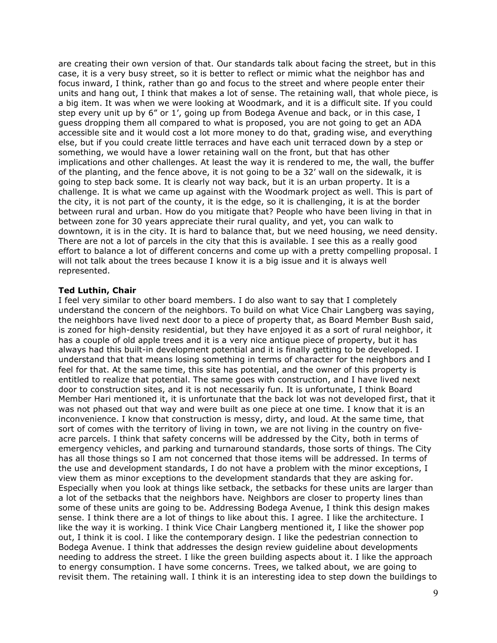are creating their own version of that. Our standards talk about facing the street, but in this case, it is a very busy street, so it is better to reflect or mimic what the neighbor has and focus inward, I think, rather than go and focus to the street and where people enter their units and hang out, I think that makes a lot of sense. The retaining wall, that whole piece, is a big item. It was when we were looking at Woodmark, and it is a difficult site. If you could step every unit up by 6" or 1', going up from Bodega Avenue and back, or in this case, I guess dropping them all compared to what is proposed, you are not going to get an ADA accessible site and it would cost a lot more money to do that, grading wise, and everything else, but if you could create little terraces and have each unit terraced down by a step or something, we would have a lower retaining wall on the front, but that has other implications and other challenges. At least the way it is rendered to me, the wall, the buffer of the planting, and the fence above, it is not going to be a 32' wall on the sidewalk, it is going to step back some. It is clearly not way back, but it is an urban property. It is a challenge. It is what we came up against with the Woodmark project as well. This is part of the city, it is not part of the county, it is the edge, so it is challenging, it is at the border between rural and urban. How do you mitigate that? People who have been living in that in between zone for 30 years appreciate their rural quality, and yet, you can walk to downtown, it is in the city. It is hard to balance that, but we need housing, we need density. There are not a lot of parcels in the city that this is available. I see this as a really good effort to balance a lot of different concerns and come up with a pretty compelling proposal. I will not talk about the trees because I know it is a big issue and it is always well represented.

## **Ted Luthin, Chair**

I feel very similar to other board members. I do also want to say that I completely understand the concern of the neighbors. To build on what Vice Chair Langberg was saying, the neighbors have lived next door to a piece of property that, as Board Member Bush said, is zoned for high-density residential, but they have enjoyed it as a sort of rural neighbor, it has a couple of old apple trees and it is a very nice antique piece of property, but it has always had this built-in development potential and it is finally getting to be developed. I understand that that means losing something in terms of character for the neighbors and I feel for that. At the same time, this site has potential, and the owner of this property is entitled to realize that potential. The same goes with construction, and I have lived next door to construction sites, and it is not necessarily fun. It is unfortunate, I think Board Member Hari mentioned it, it is unfortunate that the back lot was not developed first, that it was not phased out that way and were built as one piece at one time. I know that it is an inconvenience. I know that construction is messy, dirty, and loud. At the same time, that sort of comes with the territory of living in town, we are not living in the country on fiveacre parcels. I think that safety concerns will be addressed by the City, both in terms of emergency vehicles, and parking and turnaround standards, those sorts of things. The City has all those things so I am not concerned that those items will be addressed. In terms of the use and development standards, I do not have a problem with the minor exceptions, I view them as minor exceptions to the development standards that they are asking for. Especially when you look at things like setback, the setbacks for these units are larger than a lot of the setbacks that the neighbors have. Neighbors are closer to property lines than some of these units are going to be. Addressing Bodega Avenue, I think this design makes sense. I think there are a lot of things to like about this. I agree. I like the architecture. I like the way it is working. I think Vice Chair Langberg mentioned it, I like the shower pop out, I think it is cool. I like the contemporary design. I like the pedestrian connection to Bodega Avenue. I think that addresses the design review guideline about developments needing to address the street. I like the green building aspects about it. I like the approach to energy consumption. I have some concerns. Trees, we talked about, we are going to revisit them. The retaining wall. I think it is an interesting idea to step down the buildings to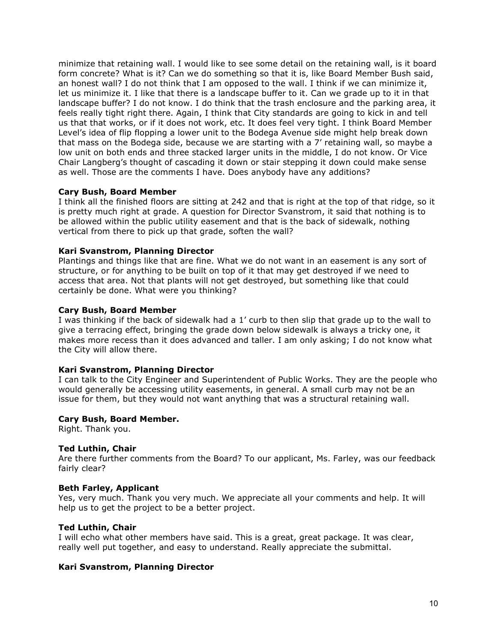minimize that retaining wall. I would like to see some detail on the retaining wall, is it board form concrete? What is it? Can we do something so that it is, like Board Member Bush said, an honest wall? I do not think that I am opposed to the wall. I think if we can minimize it, let us minimize it. I like that there is a landscape buffer to it. Can we grade up to it in that landscape buffer? I do not know. I do think that the trash enclosure and the parking area, it feels really tight right there. Again, I think that City standards are going to kick in and tell us that that works, or if it does not work, etc. It does feel very tight. I think Board Member Level's idea of flip flopping a lower unit to the Bodega Avenue side might help break down that mass on the Bodega side, because we are starting with a 7' retaining wall, so maybe a low unit on both ends and three stacked larger units in the middle, I do not know. Or Vice Chair Langberg's thought of cascading it down or stair stepping it down could make sense as well. Those are the comments I have. Does anybody have any additions?

### **Cary Bush, Board Member**

I think all the finished floors are sitting at 242 and that is right at the top of that ridge, so it is pretty much right at grade. A question for Director Svanstrom, it said that nothing is to be allowed within the public utility easement and that is the back of sidewalk, nothing vertical from there to pick up that grade, soften the wall?

### **Kari Svanstrom, Planning Director**

Plantings and things like that are fine. What we do not want in an easement is any sort of structure, or for anything to be built on top of it that may get destroyed if we need to access that area. Not that plants will not get destroyed, but something like that could certainly be done. What were you thinking?

### **Cary Bush, Board Member**

I was thinking if the back of sidewalk had a 1' curb to then slip that grade up to the wall to give a terracing effect, bringing the grade down below sidewalk is always a tricky one, it makes more recess than it does advanced and taller. I am only asking; I do not know what the City will allow there.

## **Kari Svanstrom, Planning Director**

I can talk to the City Engineer and Superintendent of Public Works. They are the people who would generally be accessing utility easements, in general. A small curb may not be an issue for them, but they would not want anything that was a structural retaining wall.

### **Cary Bush, Board Member.**

Right. Thank you.

### **Ted Luthin, Chair**

Are there further comments from the Board? To our applicant, Ms. Farley, was our feedback fairly clear?

### **Beth Farley, Applicant**

Yes, very much. Thank you very much. We appreciate all your comments and help. It will help us to get the project to be a better project.

### **Ted Luthin, Chair**

I will echo what other members have said. This is a great, great package. It was clear, really well put together, and easy to understand. Really appreciate the submittal.

## **Kari Svanstrom, Planning Director**